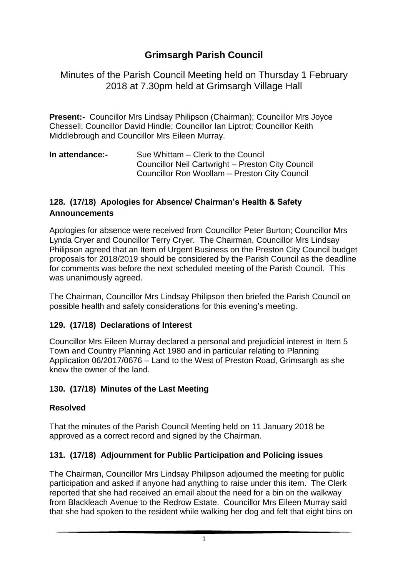# **Grimsargh Parish Council**

Minutes of the Parish Council Meeting held on Thursday 1 February 2018 at 7.30pm held at Grimsargh Village Hall

**Present:-** Councillor Mrs Lindsay Philipson (Chairman); Councillor Mrs Joyce Chessell; Councillor David Hindle; Councillor Ian Liptrot; Councillor Keith Middlebrough and Councillor Mrs Eileen Murray.

**In attendance:-** Sue Whittam – Clerk to the Council Councillor Neil Cartwright – Preston City Council Councillor Ron Woollam – Preston City Council

### **128. (17/18) Apologies for Absence/ Chairman's Health & Safety Announcements**

Apologies for absence were received from Councillor Peter Burton; Councillor Mrs Lynda Cryer and Councillor Terry Cryer. The Chairman, Councillor Mrs Lindsay Philipson agreed that an Item of Urgent Business on the Preston City Council budget proposals for 2018/2019 should be considered by the Parish Council as the deadline for comments was before the next scheduled meeting of the Parish Council. This was unanimously agreed.

The Chairman, Councillor Mrs Lindsay Philipson then briefed the Parish Council on possible health and safety considerations for this evening's meeting.

### **129. (17/18) Declarations of Interest**

Councillor Mrs Eileen Murray declared a personal and prejudicial interest in Item 5 Town and Country Planning Act 1980 and in particular relating to Planning Application 06/2017/0676 – Land to the West of Preston Road, Grimsargh as she knew the owner of the land.

### **130. (17/18) Minutes of the Last Meeting**

### **Resolved**

That the minutes of the Parish Council Meeting held on 11 January 2018 be approved as a correct record and signed by the Chairman.

# **131. (17/18) Adjournment for Public Participation and Policing issues**

The Chairman, Councillor Mrs Lindsay Philipson adjourned the meeting for public participation and asked if anyone had anything to raise under this item. The Clerk reported that she had received an email about the need for a bin on the walkway from Blackleach Avenue to the Redrow Estate. Councillor Mrs Eileen Murray said that she had spoken to the resident while walking her dog and felt that eight bins on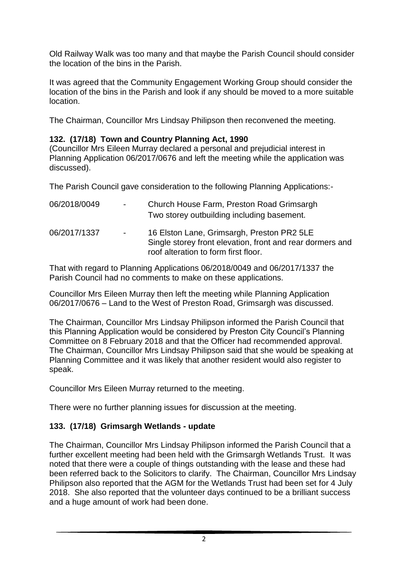Old Railway Walk was too many and that maybe the Parish Council should consider the location of the bins in the Parish.

It was agreed that the Community Engagement Working Group should consider the location of the bins in the Parish and look if any should be moved to a more suitable location.

The Chairman, Councillor Mrs Lindsay Philipson then reconvened the meeting.

### **132. (17/18) Town and Country Planning Act, 1990**

(Councillor Mrs Eileen Murray declared a personal and prejudicial interest in Planning Application 06/2017/0676 and left the meeting while the application was discussed).

The Parish Council gave consideration to the following Planning Applications:-

| 06/2018/0049 | $\sim 100$ | Church House Farm, Preston Road Grimsargh<br>Two storey outbuilding including basement.                                                         |
|--------------|------------|-------------------------------------------------------------------------------------------------------------------------------------------------|
| 06/2017/1337 | $\sim 100$ | 16 Elston Lane, Grimsargh, Preston PR2 5LE<br>Single storey front elevation, front and rear dormers and<br>roof alteration to form first floor. |

That with regard to Planning Applications 06/2018/0049 and 06/2017/1337 the Parish Council had no comments to make on these applications.

Councillor Mrs Eileen Murray then left the meeting while Planning Application 06/2017/0676 – Land to the West of Preston Road, Grimsargh was discussed.

The Chairman, Councillor Mrs Lindsay Philipson informed the Parish Council that this Planning Application would be considered by Preston City Council's Planning Committee on 8 February 2018 and that the Officer had recommended approval. The Chairman, Councillor Mrs Lindsay Philipson said that she would be speaking at Planning Committee and it was likely that another resident would also register to speak.

Councillor Mrs Eileen Murray returned to the meeting.

There were no further planning issues for discussion at the meeting.

### **133. (17/18) Grimsargh Wetlands - update**

The Chairman, Councillor Mrs Lindsay Philipson informed the Parish Council that a further excellent meeting had been held with the Grimsargh Wetlands Trust. It was noted that there were a couple of things outstanding with the lease and these had been referred back to the Solicitors to clarify. The Chairman, Councillor Mrs Lindsay Philipson also reported that the AGM for the Wetlands Trust had been set for 4 July 2018. She also reported that the volunteer days continued to be a brilliant success and a huge amount of work had been done.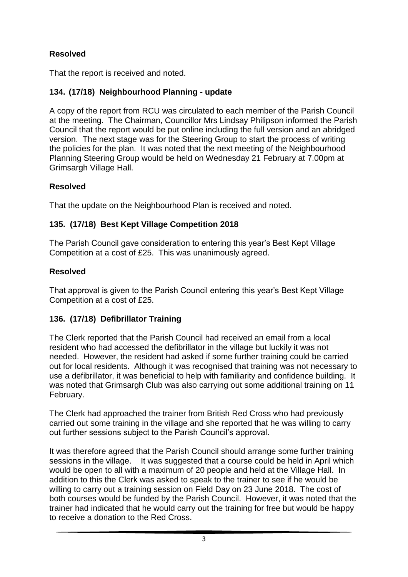# **Resolved**

That the report is received and noted.

# **134. (17/18) Neighbourhood Planning - update**

A copy of the report from RCU was circulated to each member of the Parish Council at the meeting. The Chairman, Councillor Mrs Lindsay Philipson informed the Parish Council that the report would be put online including the full version and an abridged version. The next stage was for the Steering Group to start the process of writing the policies for the plan. It was noted that the next meeting of the Neighbourhood Planning Steering Group would be held on Wednesday 21 February at 7.00pm at Grimsargh Village Hall.

# **Resolved**

That the update on the Neighbourhood Plan is received and noted.

# **135. (17/18) Best Kept Village Competition 2018**

The Parish Council gave consideration to entering this year's Best Kept Village Competition at a cost of £25. This was unanimously agreed.

# **Resolved**

That approval is given to the Parish Council entering this year's Best Kept Village Competition at a cost of £25.

# **136. (17/18) Defibrillator Training**

The Clerk reported that the Parish Council had received an email from a local resident who had accessed the defibrillator in the village but luckily it was not needed. However, the resident had asked if some further training could be carried out for local residents. Although it was recognised that training was not necessary to use a defibrillator, it was beneficial to help with familiarity and confidence building. It was noted that Grimsargh Club was also carrying out some additional training on 11 February.

The Clerk had approached the trainer from British Red Cross who had previously carried out some training in the village and she reported that he was willing to carry out further sessions subject to the Parish Council's approval.

It was therefore agreed that the Parish Council should arrange some further training sessions in the village. It was suggested that a course could be held in April which would be open to all with a maximum of 20 people and held at the Village Hall. In addition to this the Clerk was asked to speak to the trainer to see if he would be willing to carry out a training session on Field Day on 23 June 2018. The cost of both courses would be funded by the Parish Council. However, it was noted that the trainer had indicated that he would carry out the training for free but would be happy to receive a donation to the Red Cross.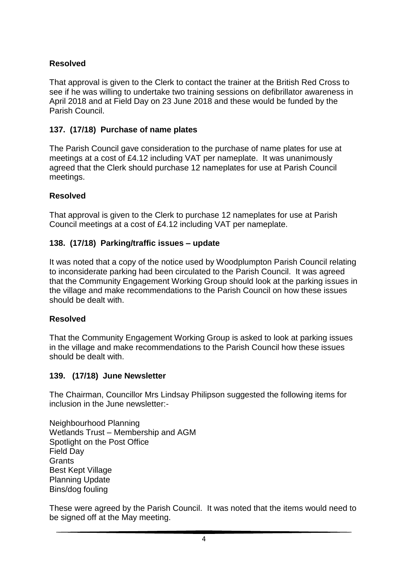### **Resolved**

That approval is given to the Clerk to contact the trainer at the British Red Cross to see if he was willing to undertake two training sessions on defibrillator awareness in April 2018 and at Field Day on 23 June 2018 and these would be funded by the Parish Council.

### **137. (17/18) Purchase of name plates**

The Parish Council gave consideration to the purchase of name plates for use at meetings at a cost of £4.12 including VAT per nameplate. It was unanimously agreed that the Clerk should purchase 12 nameplates for use at Parish Council meetings.

#### **Resolved**

That approval is given to the Clerk to purchase 12 nameplates for use at Parish Council meetings at a cost of £4.12 including VAT per nameplate.

#### **138. (17/18) Parking/traffic issues – update**

It was noted that a copy of the notice used by Woodplumpton Parish Council relating to inconsiderate parking had been circulated to the Parish Council. It was agreed that the Community Engagement Working Group should look at the parking issues in the village and make recommendations to the Parish Council on how these issues should be dealt with.

#### **Resolved**

That the Community Engagement Working Group is asked to look at parking issues in the village and make recommendations to the Parish Council how these issues should be dealt with.

#### **139. (17/18) June Newsletter**

The Chairman, Councillor Mrs Lindsay Philipson suggested the following items for inclusion in the June newsletter:-

Neighbourhood Planning Wetlands Trust – Membership and AGM Spotlight on the Post Office Field Day **Grants** Best Kept Village Planning Update Bins/dog fouling

These were agreed by the Parish Council. It was noted that the items would need to be signed off at the May meeting.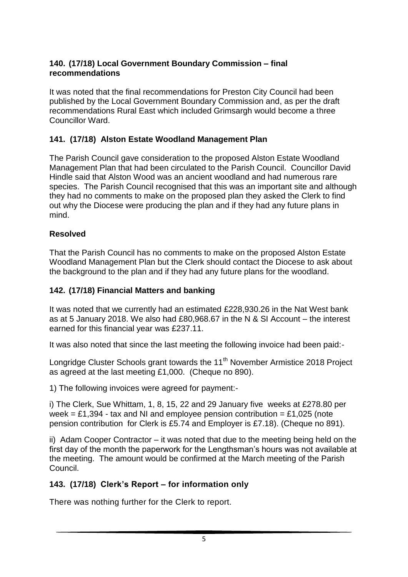### **140. (17/18) Local Government Boundary Commission – final recommendations**

It was noted that the final recommendations for Preston City Council had been published by the Local Government Boundary Commission and, as per the draft recommendations Rural East which included Grimsargh would become a three Councillor Ward.

# **141. (17/18) Alston Estate Woodland Management Plan**

The Parish Council gave consideration to the proposed Alston Estate Woodland Management Plan that had been circulated to the Parish Council. Councillor David Hindle said that Alston Wood was an ancient woodland and had numerous rare species. The Parish Council recognised that this was an important site and although they had no comments to make on the proposed plan they asked the Clerk to find out why the Diocese were producing the plan and if they had any future plans in mind.

# **Resolved**

That the Parish Council has no comments to make on the proposed Alston Estate Woodland Management Plan but the Clerk should contact the Diocese to ask about the background to the plan and if they had any future plans for the woodland.

### **142. (17/18) Financial Matters and banking**

It was noted that we currently had an estimated £228,930.26 in the Nat West bank as at 5 January 2018. We also had £80,968.67 in the N & SI Account – the interest earned for this financial year was £237.11.

It was also noted that since the last meeting the following invoice had been paid:-

Longridge Cluster Schools grant towards the 11<sup>th</sup> November Armistice 2018 Project as agreed at the last meeting £1,000. (Cheque no 890).

1) The following invoices were agreed for payment:-

i) The Clerk, Sue Whittam, 1, 8, 15, 22 and 29 January five weeks at £278.80 per week = £1,394 - tax and NI and employee pension contribution = £1,025 (note pension contribution for Clerk is £5.74 and Employer is £7.18). (Cheque no 891).

ii) Adam Cooper Contractor – it was noted that due to the meeting being held on the first day of the month the paperwork for the Lengthsman's hours was not available at the meeting. The amount would be confirmed at the March meeting of the Parish Council.

# **143. (17/18) Clerk's Report – for information only**

There was nothing further for the Clerk to report.